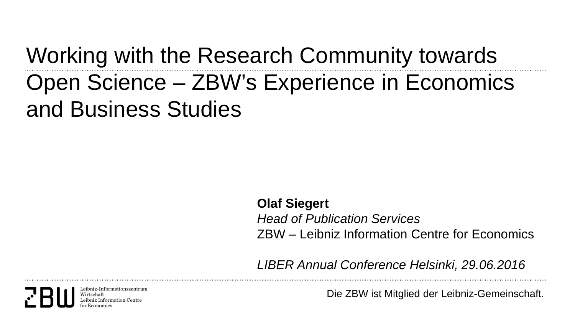# Working with the Research Community towards Open Science – ZBW's Experience in Economics and Business Studies

**Olaf Siegert** *Head of Publication Services* ZBW – Leibniz Information Centre for Economics

*LIBER Annual Conference Helsinki, 29.06.2016*

Leibniz-Informationszentru Wirtschaft

Die ZBW ist Mitglied der Leibniz-Gemeinschaft.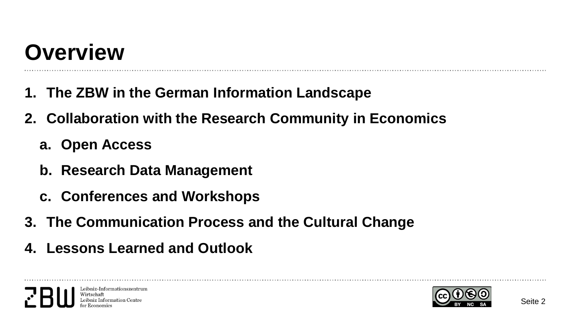# **Overview**

- **1. The ZBW in the German Information Landscape**
- **2. Collaboration with the Research Community in Economics**
	- **a. Open Access**
	- **b. Research Data Management**
	- **c. Conferences and Workshops**
- **3. The Communication Process and the Cultural Change**
- **4. Lessons Learned and Outlook**



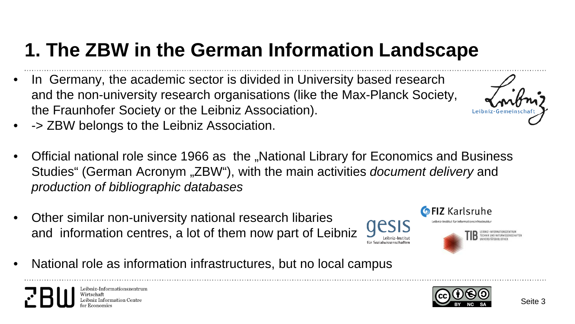## **1. The ZBW in the German Information Landscape**

- In Germany, the academic sector is divided in University based research and the non-university research organisations (like the Max-Planck Society, the Fraunhofer Society or the Leibniz Association).
- -> ZBW belongs to the Leibniz Association.
- Official national role since 1966 as the "National Library for Economics and Business Studies" (German Acronym "ZBW"), with the main activities *document delivery* and *production of bibliographic databases*
- Other similar non-university national research libaries and information centres, a lot of them now part of Leibniz
- National role as information infrastructures, but no local campus



**GFIZ Karlsruhe** 



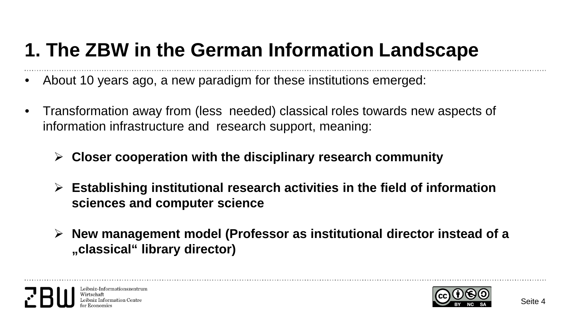### **1. The ZBW in the German Information Landscape**

- About 10 years ago, a new paradigm for these institutions emerged:
- Transformation away from (less needed) classical roles towards new aspects of information infrastructure and research support, meaning:
	- **Closer cooperation with the disciplinary research community**
	- **Establishing institutional research activities in the field of information sciences and computer science**
	- **New management model (Professor as institutional director instead of a "classical" library director)**



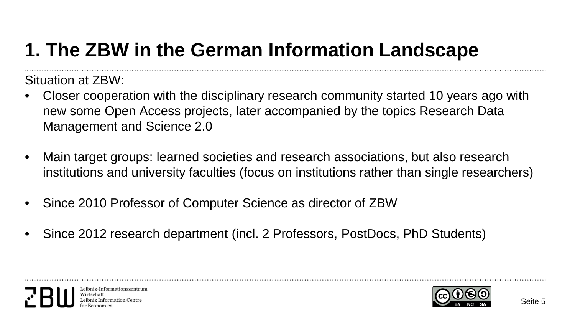## **1. The ZBW in the German Information Landscape**

#### Situation at ZBW:

- Closer cooperation with the disciplinary research community started 10 years ago with new some Open Access projects, later accompanied by the topics Research Data Management and Science 2.0
- Main target groups: learned societies and research associations, but also research institutions and university faculties (focus on institutions rather than single researchers)
- Since 2010 Professor of Computer Science as director of ZBW
- Since 2012 research department (incl. 2 Professors, PostDocs, PhD Students)



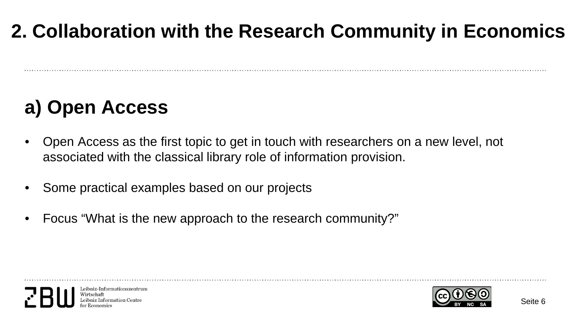## **2. Collaboration with the Research Community in Economics**

## **a) Open Access**

- Open Access as the first topic to get in touch with researchers on a new level, not associated with the classical library role of information provision.
- Some practical examples based on our projects
- Focus "What is the new approach to the research community?"



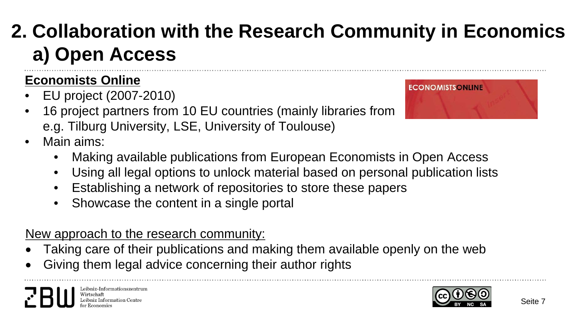## **2. Collaboration with the Research Community in Economics a) Open Access**

#### **Economists Online**

- EU project (2007-2010)
- 16 project partners from 10 EU countries (mainly libraries from e.g. Tilburg University, LSE, University of Toulouse)
- Main aims:
	- Making available publications from European Economists in Open Access
	- Using all legal options to unlock material based on personal publication lists
	- Establishing a network of repositories to store these papers
	- Showcase the content in a single portal

New approach to the research community:

- Taking care of their publications and making them available openly on the web
- Giving them legal advice concerning their author rights



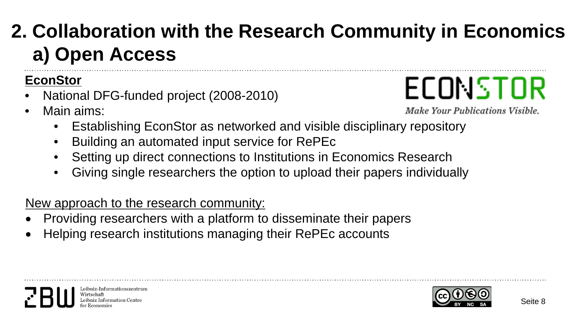## **2. Collaboration with the Research Community in Economics a) Open Access**

#### **EconStor**

- National DFG-funded project (2008-2010)
- Main aims:



Make Your Publications Visible.

- Establishing EconStor as networked and visible disciplinary repository
- Building an automated input service for RePEc
- Setting up direct connections to Institutions in Economics Research
- Giving single researchers the option to upload their papers individually

New approach to the research community:

- Providing researchers with a platform to disseminate their papers
- Helping research institutions managing their RePEc accounts



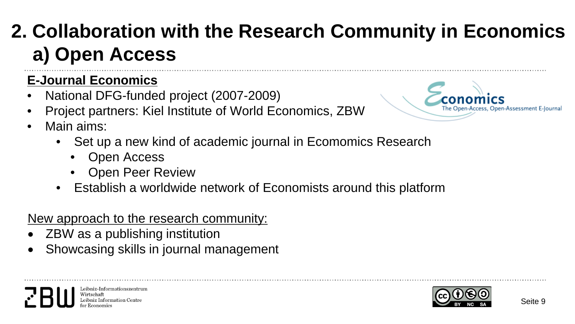## **2. Collaboration with the Research Community in Economics a) Open Access**

### **E-Journal Economics**

- National DFG-funded project (2007-2009)
- Project partners: Kiel Institute of World Economics, ZBW



- Main aims:
	- Set up a new kind of academic journal in Ecomomics Research
		- Open Access
		- Open Peer Review
	- Establish a worldwide network of Economists around this platform

#### New approach to the research community:

- ZBW as a publishing institution
- Showcasing skills in journal management



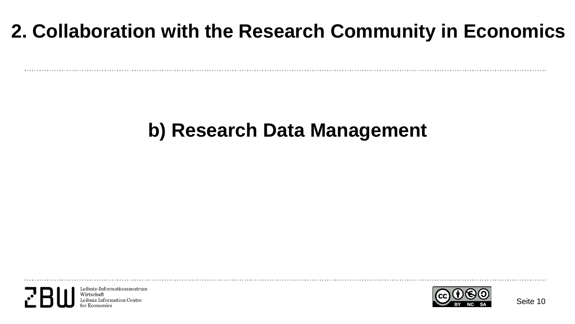## **2. Collaboration with the Research Community in Economics**

### **b) Research Data Management**

Leibniz-Informationszentrum Wirtschaft bniz Information Centre

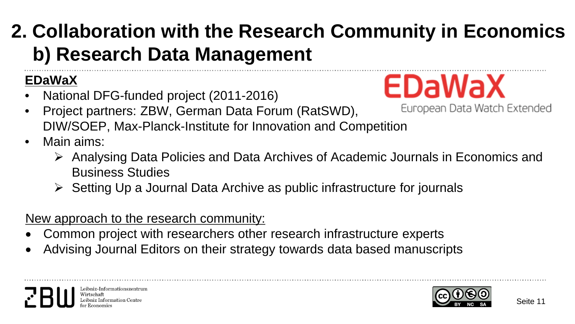## **2. Collaboration with the Research Community in Economics b) Research Data Management**

#### **EDaWaX**

- National DFG-funded project (2011-2016)
- Project partners: ZBW, German Data Forum (RatSWD), DIW/SOEP, Max-Planck-Institute for Innovation and Competition
- Main aims:
	- Analysing Data Policies and Data Archives of Academic Journals in Economics and Business Studies
	- $\triangleright$  Setting Up a Journal Data Archive as public infrastructure for journals

New approach to the research community:

- Common project with researchers other research infrastructure experts
- Advising Journal Editors on their strategy towards data based manuscripts



EDaWaX

European Data Watch Extended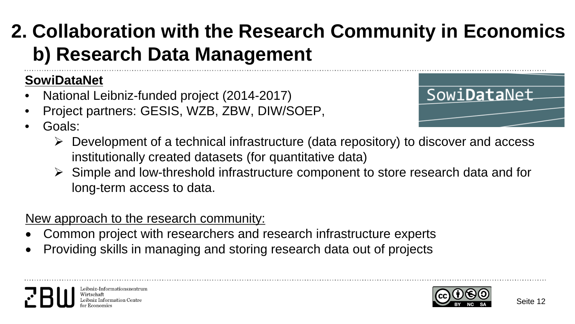## **2. Collaboration with the Research Community in Economics b) Research Data Management**

#### **SowiDataNet**

- National Leibniz-funded project (2014-2017)
- Project partners: GESIS, WZB, ZBW, DIW/SOEP,
- Goals:



- $\triangleright$  Development of a technical infrastructure (data repository) to discover and access institutionally created datasets (for quantitative data)
- $\triangleright$  Simple and low-threshold infrastructure component to store research data and for long-term access to data.

New approach to the research community:

- Common project with researchers and research infrastructure experts
- Providing skills in managing and storing research data out of projects

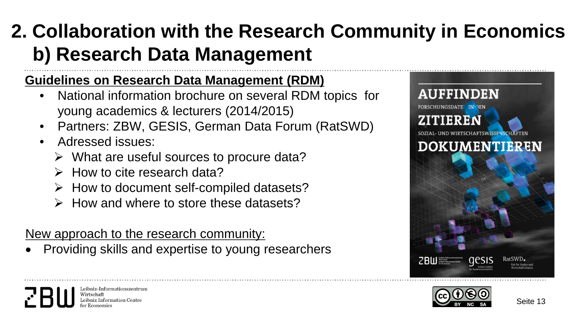## **2. Collaboration with the Research Community in Economics b) Research Data Management**

#### **Guidelines on Research Data Management (RDM)**

- National information brochure on several RDM topics for young academics & lecturers (2014/2015)
- Partners: ZBW, GESIS, German Data Forum (RatSWD)
- Adressed issues:
	- $\triangleright$  What are useful sources to procure data?
	- $\triangleright$  How to cite research data?
	- $\triangleright$  How to document self-compiled datasets?
	- $\triangleright$  How and where to store these datasets?

New approach to the research community:

• Providing skills and expertise to young researchers



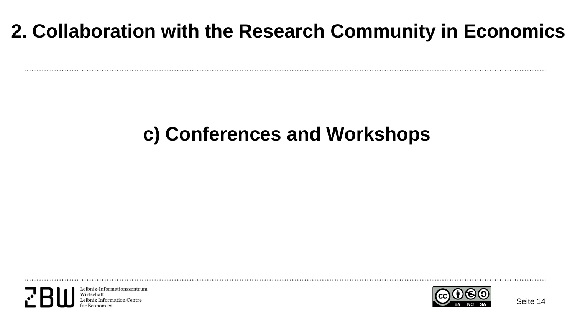## **2. Collaboration with the Research Community in Economics**

### **c) Conferences and Workshops**

Leibniz-Informationszentrum Wirtschaft bniz Information Centre

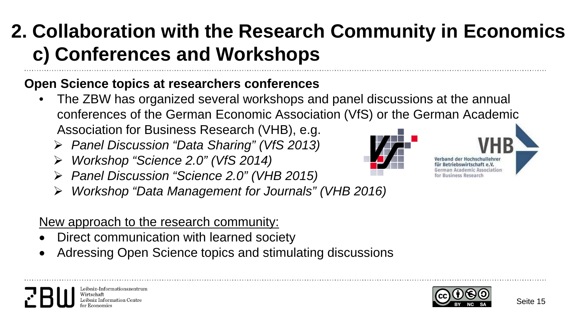## **2. Collaboration with the Research Community in Economics c) Conferences and Workshops**

#### **Open Science topics at researchers conferences**

- The ZBW has organized several workshops and panel discussions at the annual conferences of the German Economic Association (VfS) or the German Academic Association for Business Research (VHB), e.g.
	- *Panel Discussion "Data Sharing" (VfS 2013)*
	- *Workshop "Science 2.0" (VfS 2014)*
	- *Panel Discussion "Science 2.0" (VHB 2015)*
	- *Workshop "Data Management for Journals" (VHB 2016)*

#### New approach to the research community:

Leibniz-Informationszentru

Virtschaft

- Direct communication with learned society
- Adressing Open Science topics and stimulating discussions



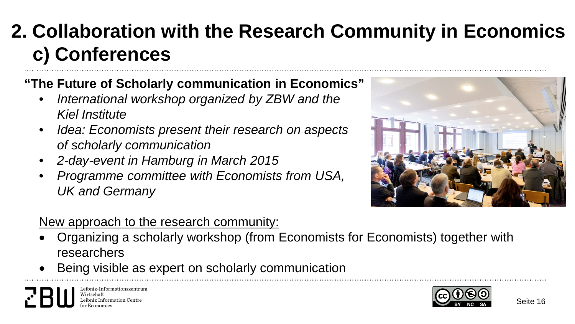## **2. Collaboration with the Research Community in Economics c) Conferences**

- **"The Future of Scholarly communication in Economics"**
	- *International workshop organized by ZBW and the Kiel Institute*
	- *Idea: Economists present their research on aspects of scholarly communication*
	- *2-day-event in Hamburg in March 2015*
	- *Programme committee with Economists from USA, UK and Germany*



#### New approach to the research community:

- Organizing a scholarly workshop (from Economists for Economists) together with researchers
- Being visible as expert on scholarly communication



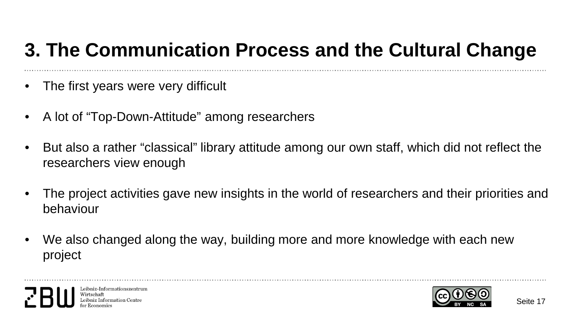## **3. The Communication Process and the Cultural Change**

- The first years were very difficult
- A lot of "Top-Down-Attitude" among researchers
- But also a rather "classical" library attitude among our own staff, which did not reflect the researchers view enough
- The project activities gave new insights in the world of researchers and their priorities and behaviour
- We also changed along the way, building more and more knowledge with each new project



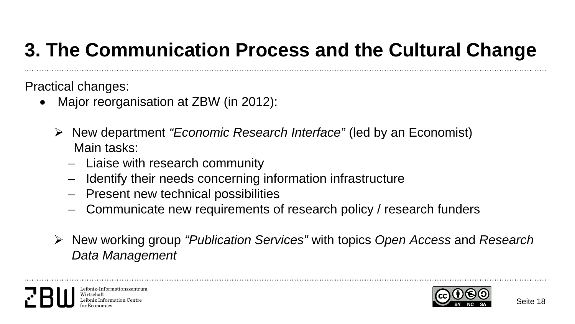## **3. The Communication Process and the Cultural Change**

Practical changes:

- Major reorganisation at ZBW (in 2012):
	- New department *"Economic Research Interface"* (led by an Economist) Main tasks:
		- − Liaise with research community
		- − Identify their needs concerning information infrastructure
		- − Present new technical possibilities
		- − Communicate new requirements of research policy / research funders
	- New working group *"Publication Services"* with topics *Open Access* and *Research Data Management*



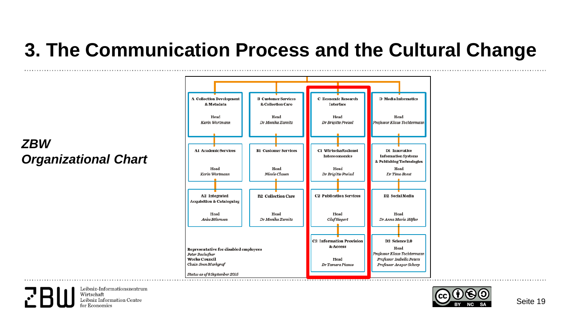### **3. The Communication Process and the Cultural Change**

#### *ZBW Organizational Chart*



Leibniz-Informationszentrum Wirtschaft Leibniz Information Centre

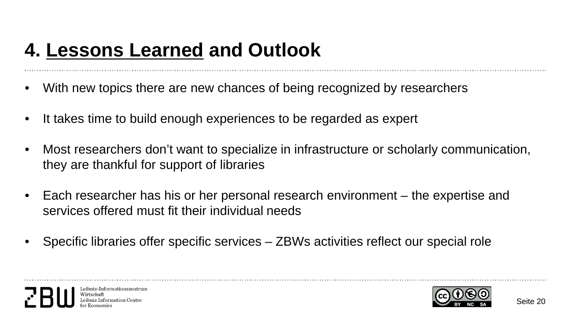### **4. Lessons Learned and Outlook**

- With new topics there are new chances of being recognized by researchers
- It takes time to build enough experiences to be regarded as expert
- Most researchers don't want to specialize in infrastructure or scholarly communication, they are thankful for support of libraries
- Each researcher has his or her personal research environment the expertise and services offered must fit their individual needs
- Specific libraries offer specific services ZBWs activities reflect our special role



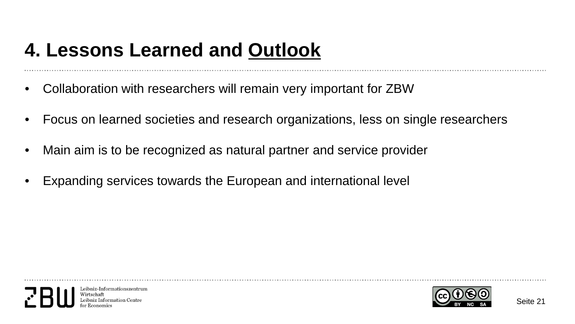### **4. Lessons Learned and Outlook**

- Collaboration with researchers will remain very important for ZBW
- Focus on learned societies and research organizations, less on single researchers
- Main aim is to be recognized as natural partner and service provider
- Expanding services towards the European and international level